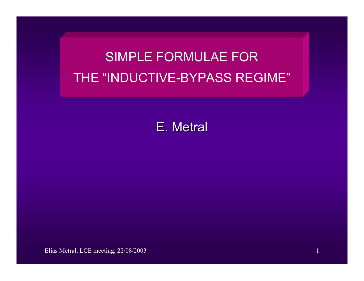# SIMPLE FORMULAE FORTHE "INDUCTIVE-BYPASS REGIME"

E. Metral

Elias Metral, LCE meeting, 22/08/2003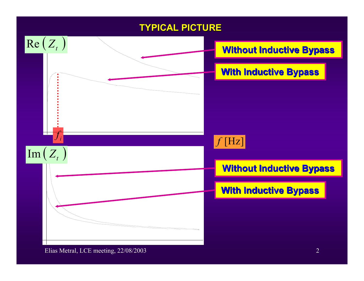#### **TYPICAL PICTURE TYPICAL PICTURE**

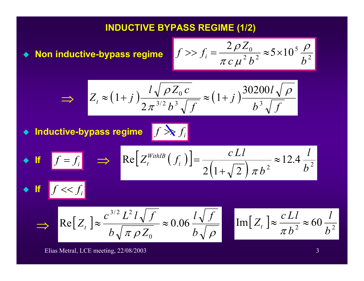#### **INDUCTIVE BYPASS REG INDUCTIVE BYPASS REGIME (1/2 ME (1/2)**

◆ Non inductive-bypass regime  $|f| >> f_i = \frac{g_i}{2 \pi i^2}$  ≈ 5 ×

$$
f \gg f_i = \frac{2 \rho Z_0}{\pi c \mu^2 b^2} \approx 5 \times 10^5 \frac{\rho}{b^2}
$$

$$
\Rightarrow Z_t \approx (1+j)\frac{l\sqrt{\rho Z_0 c}}{2\pi^{3/2}b^3\sqrt{f}} \approx (1+j)\frac{30200l\sqrt{\rho}}{b^3\sqrt{f}}
$$

 $\blacklozenge$ **Inductive-bypass regime** *<sup>i</sup>*

 $\bullet$  **If**  $f \ll f_i$ 

$$
f \sum f_i
$$

• **If** 
$$
f = f_i
$$
  $\Rightarrow$   $Re[Z_t^{\text{WithIB}}(f_i)] = \frac{cLI}{2(1+\sqrt{2}) \pi b^2} \approx 12.4 \frac{l}{b^2}$ 

$$
\Rightarrow \left| \text{Re}\left[Z_t\right] \right| \approx \frac{c^{3/2} L^2 l \sqrt{f}}{b \sqrt{\pi \rho Z_0}} \approx 0.06 \frac{l \sqrt{f}}{b \sqrt{\rho}} \right| \quad \left| \text{Im}\left[Z_t\right] \right| \approx \frac{c L l}{\pi b^2} \approx
$$

$$
\mathrm{Im}[Z_t] \approx \frac{c L l}{\pi b^2} \approx 60 \frac{l}{b^2}
$$

Elias Metral, LCE meeting, 22/08/2003 3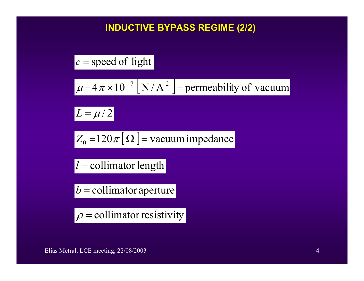## **INDUCTIVE BYPASS REG INDUCTIVE BYPASS REGIME (2/2 ME (2/2)**

$$
c
$$
 = speed of light

$$
\mu = 4\pi \times 10^{-7} \text{ [N/A}^2 \text{ ]} = \text{permeability of vacuum}
$$

 $L = \mu/2$ 

$$
Z_0 = 120 \pi [\Omega] = \text{vacuum impedance}
$$

*l* = collimator length

*b* <sup>=</sup> collimator aperture

 $|\rho$  = collimator resistivity